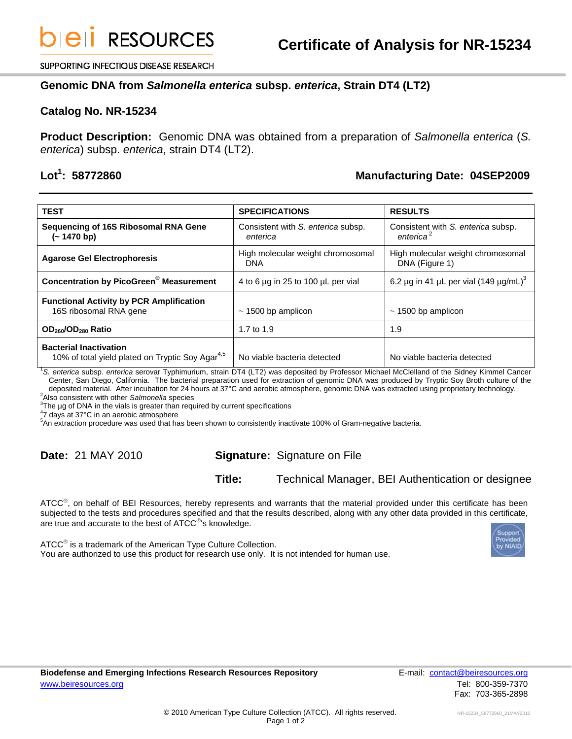SUPPORTING INFECTIOUS DISEASE RESEARCH

### **Genomic DNA from** *Salmonella enterica* **subsp.** *enterica***, Strain DT4 (LT2)**

#### **Catalog No. NR-15234**

**Product Description:** Genomic DNA was obtained from a preparation of *Salmonella enterica* (*S. enterica*) subsp. *enterica*, strain DT4 (LT2).

### Lot<sup>1</sup>: 58772860

## **: 58772860 Manufacturing Date: 04SEP2009**

| <b>TEST</b>                                                                                   | <b>SPECIFICATIONS</b>                          | <b>RESULTS</b>                                              |
|-----------------------------------------------------------------------------------------------|------------------------------------------------|-------------------------------------------------------------|
| Sequencing of 16S Ribosomal RNA Gene<br>$(-1470 b)$                                           | Consistent with S. enterica subsp.<br>enterica | Consistent with S. enterica subsp.<br>enterica <sup>2</sup> |
| <b>Agarose Gel Electrophoresis</b>                                                            | High molecular weight chromosomal<br>DNA       | High molecular weight chromosomal<br>DNA (Figure 1)         |
| <b>Concentration by PicoGreen<sup>®</sup> Measurement</b>                                     | 4 to 6 µg in 25 to 100 µL per vial             | 6.2 µg in 41 µL per vial (149 µg/mL) <sup>3</sup>           |
| <b>Functional Activity by PCR Amplification</b><br>16S ribosomal RNA gene                     | $\sim$ 1500 bp amplicon                        | $\sim$ 1500 bp amplicon                                     |
| OD <sub>260</sub> /OD <sub>280</sub> Ratio                                                    | 1.7 to 1.9                                     | 1.9                                                         |
| <b>Bacterial Inactivation</b><br>10% of total yield plated on Tryptic Soy Agar <sup>4,5</sup> | No viable bacteria detected                    | No viable bacteria detected                                 |

1 *S. enterica* subsp. *enterica* serovar Typhimurium, strain DT4 (LT2) was deposited by Professor Michael McClelland of the Sidney Kimmel Cancer Center, San Diego, California. The bacterial preparation used for extraction of genomic DNA was produced by Tryptic Soy Broth culture of the deposited material. After incubation for 24 hours at 37°C and aerobic atmosphere, genomic DNA was extracted using proprietary technology. 2

Also consistent with other *Salmonella* species 3

 $3$ The  $\mu$ g of DNA in the vials is greater than required by current specifications

<sup>4</sup>7 days at 37°C in an aerobic atmosphere

5 An extraction procedure was used that has been shown to consistently inactivate 100% of Gram-negative bacteria.

# **Date:** 21 MAY 2010 **Signature:** Signature on File

**Title:** Technical Manager, BEI Authentication or designee

ATCC®, on behalf of BEI Resources, hereby represents and warrants that the material provided under this certificate has been subjected to the tests and procedures specified and that the results described, along with any other data provided in this certificate, are true and accurate to the best of ATCC®'s knowledge.

ATCC® is a trademark of the American Type Culture Collection. You are authorized to use this product for research use only. It is not intended for human use.